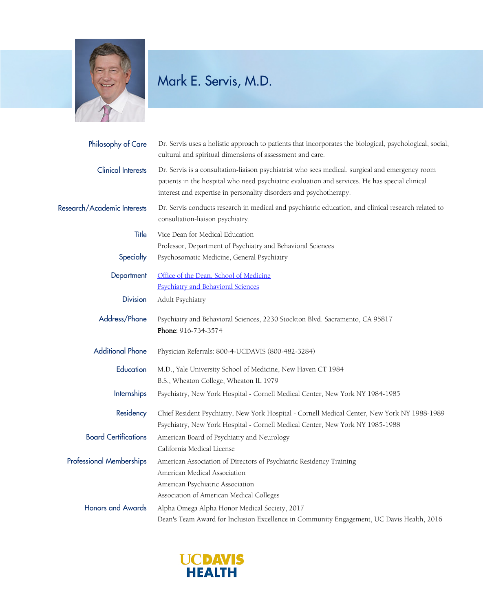

## Mark E. Servis, M.D.

| Philosophy of Care              | Dr. Servis uses a holistic approach to patients that incorporates the biological, psychological, social,<br>cultural and spiritual dimensions of assessment and care.                                                                                                   |
|---------------------------------|-------------------------------------------------------------------------------------------------------------------------------------------------------------------------------------------------------------------------------------------------------------------------|
| <b>Clinical Interests</b>       | Dr. Servis is a consultation-liaison psychiatrist who sees medical, surgical and emergency room<br>patients in the hospital who need psychiatric evaluation and services. He has special clinical<br>interest and expertise in personality disorders and psychotherapy. |
| Research/Academic Interests     | Dr. Servis conducts research in medical and psychiatric education, and clinical research related to<br>consultation-liaison psychiatry.                                                                                                                                 |
| Title<br>Specialty              | Vice Dean for Medical Education<br>Professor, Department of Psychiatry and Behavioral Sciences<br>Psychosomatic Medicine, General Psychiatry                                                                                                                            |
|                                 |                                                                                                                                                                                                                                                                         |
| Department                      | Office of the Dean, School of Medicine<br><b>Psychiatry and Behavioral Sciences</b>                                                                                                                                                                                     |
| <b>Division</b>                 | Adult Psychiatry                                                                                                                                                                                                                                                        |
| Address/Phone                   | Psychiatry and Behavioral Sciences, 2230 Stockton Blvd. Sacramento, CA 95817<br>Phone: 916-734-3574                                                                                                                                                                     |
| <b>Additional Phone</b>         | Physician Referrals: 800-4-UCDAVIS (800-482-3284)                                                                                                                                                                                                                       |
| Education                       | M.D., Yale University School of Medicine, New Haven CT 1984<br>B.S., Wheaton College, Wheaton IL 1979                                                                                                                                                                   |
| <b>Internships</b>              | Psychiatry, New York Hospital - Cornell Medical Center, New York NY 1984-1985                                                                                                                                                                                           |
| Residency                       | Chief Resident Psychiatry, New York Hospital - Cornell Medical Center, New York NY 1988-1989<br>Psychiatry, New York Hospital - Cornell Medical Center, New York NY 1985-1988                                                                                           |
| <b>Board Certifications</b>     | American Board of Psychiatry and Neurology<br>California Medical License                                                                                                                                                                                                |
| <b>Professional Memberships</b> | American Association of Directors of Psychiatric Residency Training<br>American Medical Association<br>American Psychiatric Association<br>Association of American Medical Colleges                                                                                     |
| <b>Honors and Awards</b>        | Alpha Omega Alpha Honor Medical Society, 2017<br>Dean's Team Award for Inclusion Excellence in Community Engagement, UC Davis Health, 2016                                                                                                                              |

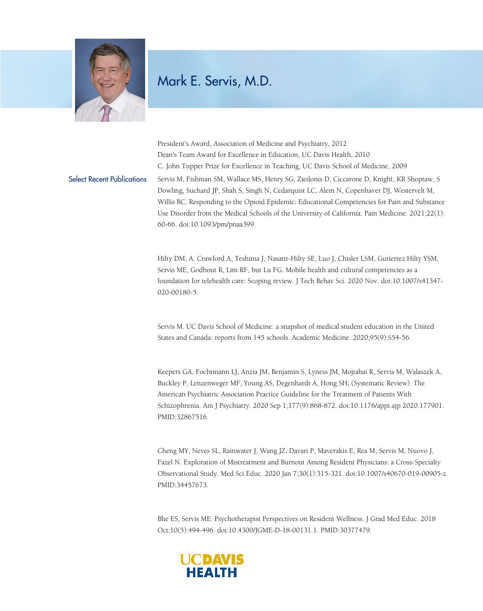

## Mark E. Servis, M.D.

President's Award, Association of Medicine and Psychiatry, 2012 Dean's Team Award for Excellence in Education, UC Davis Health, 2010 C. John Tupper Prize for Excellence in Teaching, UC Davis School of Medicine, 2009 Select Recent Publications Servis M, Fishman SM, Wallace MS, Henry SG, Ziedonis D, Ciccarone D, Knight, KR Shoptaw, S Dowling, Suchard JP, Shah S, Singh N, Cedarquist LC, Alem N, Copenhaver DJ, Westervelt M, Willis BC. Responding to the Opioid Epidemic: Educational Competencies for Pain and Substance Use Disorder from the Medical Schools of the University of California. Pain Medicine. 2021;22(1): 60-66. doi:10.1093/pm/pnaa399.

> Hilty DM, A. Crawford A, Teshima J, Nasatir-Hilty SE, Luo J, Chisler LSM, Gutierrez Hilty YSM, Servis ME, Godbout R, Lim RF, but Lu FG. Mobile health and cultural competencies as a foundation for telehealth care: Scoping review. J Tech Behav Sci. 2020 Nov. doi:10.1007/s41347- 020-00180-5.

Servis M. UC Davis School of Medicine: a snapshot of medical student education in the United States and Canada: reports from 145 schools. Academic Medicine. 2020;95(9):S54-56.

Keepers GA, Fochtmann LJ, Anzia JM, Benjamin S, Lyness JM, Mojtabai R, Servis M, Walaszek A, Buckley P, Lenzenweger MF, Young AS, Degenhardt A, Hong SH; (Systematic Review). The American Psychiatric Association Practice Guideline for the Treatment of Patients With Schizophrenia. Am J Psychiatry. 2020 Sep 1;177(9):868-872. doi:10.1176/appi.ajp.2020.177901. PMID:32867516.

Cheng MY, Neves SL, Rainwater J, Wang JZ, Davari P, Maverakis E, Rea M, Servis M, Nuovo J, Fazel N. Exploration of Mistreatment and Burnout Among Resident Physicians: a Cross-Specialty Observational Study. Med Sci Educ. 2020 Jan 7;30(1):315-321. doi:10.1007/s40670-019-00905-z. PMID:34457673.

Bhe ES, Servis ME. Psychotherapist Perspectives on Resident Wellness. J Grad Med Educ. 2018 Oct;10(5):494-496. doi:10.4300/JGME-D-18-00131.1. PMID:30377479.